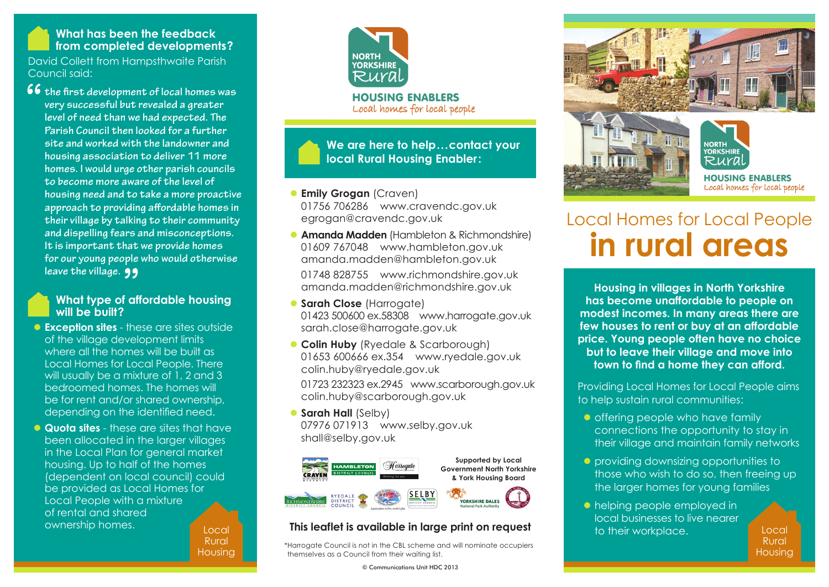## **What has been the feedback from completed developments?**

David Collett from Hampsthwaite Parish Council said:

**66** the first development of local homes was<br>very successful but revealed a greater<br>level of need than we had expected. The **very successful but revealed a greater level of need than we had expected. The Parish Council then looked for a further site and worked with the landowner and housing association to deliver 11 more homes. I would urge other parish councils to become more aware of the level of housing need and to take a more proactive approach to providing affordable homes in their village by talking to their community and dispelling fears and misconceptions. It is important that we provide homes for our young people who would otherwise leave the village.**

# we the village. 99<br>What type of affordable housing<br>wi<sup>ll h</sup>e heilt? **will be built?**

- **Exception sites** these are sites outside of the village development limits where all the homes will be built as Local Homes for Local People. There will usually be a mixture of 1, 2 and 3 bedroomed homes. The homes will be for rent and/or shared ownership, depending on the identified need.
- Local **Quota sites** - these are sites that have been allocated in the larger villages in the Local Plan for general market housing. Up to half of the homes (dependent on local council) could be provided as Local Homes for Local People with a mixture of rental and shared ownership homes.

Rural Housing



**We are here to help...contact your local Rural Housing Enabler:**

### **C** Emily Grogan (Craven) 01756 706286 www.cravendc.gov.uk egrogan@cravendc.gov.uk

**Amanda Madden** (Hambleton & Richmondshire) 01609 767048 www.hambleton.gov.uk amanda.madden@hambleton.gov.uk

 01748 828755 www.richmondshire.gov.uk amanda.madden@richmondshire.gov.uk

- **C** Sarah Close (Harrogate) 01423 500600 ex.58308 www.harrogate.gov.uk sarah.close@harrogate.gov.uk
- **Colin Huby** (Ryedale & Scarborough) 01653 600666 ex.354 www.ryedale.gov.uk colin.huby@ryedale.gov.uk

 01723 232323 ex.2945 www.scarborough.gov.uk colin.huby@scarborough.gov.uk

**C** Sarah Hall (Selby) 07976 071913 www.selby.gov.uk shall@selby.gov.uk



# **This leaflet is available in large print on request**

\*Harrogate Council is not in the CBL scheme and will nominate occupiers themselves as a Council from their waiting list.

© Communications Unit HDC 2013



# Local Homes for Local People **in rural areas**

**Housing in villages in North Yorkshire has become unaffordable to people on modest incomes. In many areas there are few houses to rent or buy at an affordable price. Young people often have no choice but to leave their village and move into town to find a home they can afford.**

Providing Local Homes for Local People aims to help sustain rural communities:

- $\bullet$  offering people who have family connections the opportunity to stay in their village and maintain family networks
- **•** providing downsizing opportunities to those who wish to do so, then freeing up the larger homes for young families
- **I** helping people employed in local businesses to live nearer to their workplace.

Local Rural Housing